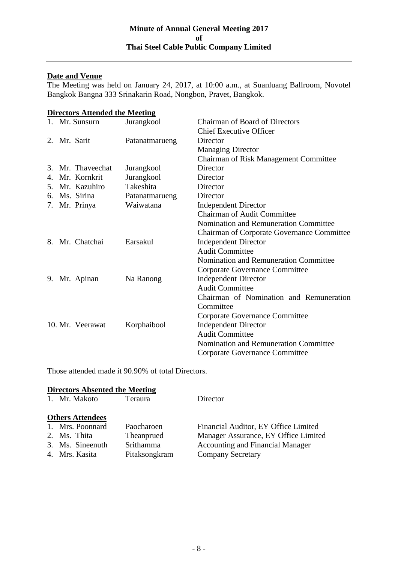## **Date and Venue**

The Meeting was held on January 24, 2017, at 10:00 a.m., at Suanluang Ballroom, Novotel Bangkok Bangna 333 Srinakarin Road, Nongbon, Pravet, Bangkok.

| <b>Directors Attended the Meeting</b> |                   |                |                                                   |  |  |
|---------------------------------------|-------------------|----------------|---------------------------------------------------|--|--|
|                                       | 1. Mr. Sunsurn    | Jurangkool     | <b>Chairman of Board of Directors</b>             |  |  |
|                                       |                   |                | <b>Chief Executive Officer</b>                    |  |  |
|                                       | 2. Mr. Sarit      | Patanatmarueng | Director                                          |  |  |
|                                       |                   |                | <b>Managing Director</b>                          |  |  |
|                                       |                   |                | Chairman of Risk Management Committee             |  |  |
|                                       | 3. Mr. Thaveechat | Jurangkool     | Director                                          |  |  |
|                                       | 4. Mr. Kornkrit   | Jurangkool     | Director                                          |  |  |
|                                       | 5. Mr. Kazuhiro   | Takeshita      | Director                                          |  |  |
|                                       | 6. Ms. Sirina     | Patanatmarueng | Director                                          |  |  |
|                                       | 7. Mr. Prinya     | Waiwatana      | <b>Independent Director</b>                       |  |  |
|                                       |                   |                | <b>Chairman of Audit Committee</b>                |  |  |
|                                       |                   |                | Nomination and Remuneration Committee             |  |  |
|                                       |                   |                | <b>Chairman of Corporate Governance Committee</b> |  |  |
|                                       | 8. Mr. Chatchai   | Earsakul       | <b>Independent Director</b>                       |  |  |
|                                       |                   |                | <b>Audit Committee</b>                            |  |  |
|                                       |                   |                | Nomination and Remuneration Committee             |  |  |
|                                       |                   |                | Corporate Governance Committee                    |  |  |
|                                       | 9. Mr. Apinan     | Na Ranong      | <b>Independent Director</b>                       |  |  |
|                                       |                   |                | <b>Audit Committee</b>                            |  |  |
|                                       |                   |                | Chairman of Nomination and Remuneration           |  |  |
|                                       |                   |                | Committee                                         |  |  |
|                                       |                   |                | Corporate Governance Committee                    |  |  |
|                                       | 10. Mr. Veerawat  | Korphaibool    | <b>Independent Director</b>                       |  |  |
|                                       |                   |                | <b>Audit Committee</b>                            |  |  |
|                                       |                   |                | Nomination and Remuneration Committee             |  |  |
|                                       |                   |                | <b>Corporate Governance Committee</b>             |  |  |

Those attended made it 90.90% of total Directors.

# **Directors Absented the Meeting**

| 1. Mr. Makoto           | Teraura       | Director                                |
|-------------------------|---------------|-----------------------------------------|
| <b>Others Attendees</b> |               |                                         |
| 1. Mrs. Poonnard        | Paocharoen    | Financial Auditor, EY Office Limited    |
| 2. Ms. Thita            | Theanprued    | Manager Assurance, EY Office Limited    |
| 3. Ms. Sineenuth        | Srithamma     | <b>Accounting and Financial Manager</b> |
| 4. Mrs. Kasita          | Pitaksongkram | <b>Company Secretary</b>                |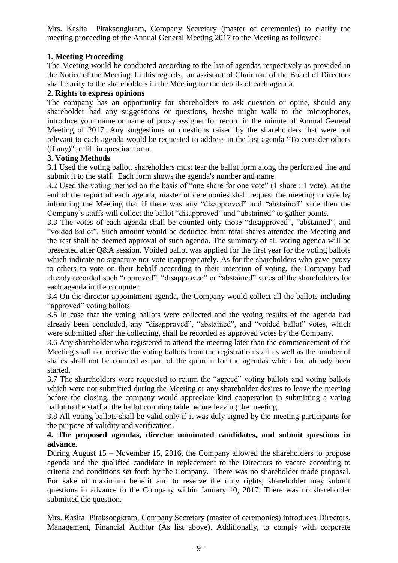Mrs. Kasita Pitaksongkram, Company Secretary (master of ceremonies) to clarify the meeting proceeding of the Annual General Meeting 2017 to the Meeting as followed:

# **1. Meeting Proceeding**

The Meeting would be conducted according to the list of agendas respectively as provided in the Notice of the Meeting. In this regards, an assistant of Chairman of the Board of Directors shall clarify to the shareholders in the Meeting for the details of each agenda.

## **2. Rights to express opinions**

The company has an opportunity for shareholders to ask question or opine, should any shareholder had any suggestions or questions, he/she might walk to the microphones, introduce your name or name of proxy assigner for record in the minute of Annual General Meeting of 2017. Any suggestions or questions raised by the shareholders that were not relevant to each agenda would be requested to address in the last agenda "To consider others (if any)" or fill in question form.

## **3. Voting Methods**

3.1 Used the voting ballot, shareholders must tear the ballot form along the perforated line and submit it to the staff. Each form shows the agenda's number and name.

3.2 Used the voting method on the basis of "one share for one vote" (1 share : 1 vote). At the end of the report of each agenda, master of ceremonies shall request the meeting to vote by informing the Meeting that if there was any "disapproved" and "abstained" vote then the Company's staffs will collect the ballot "disapproved" and "abstained" to gather points.

3.3 The votes of each agenda shall be counted only those "disapproved", "abstained", and "voided ballot". Such amount would be deducted from total shares attended the Meeting and the rest shall be deemed approval of such agenda. The summary of all voting agenda will be presented after Q&A session. Voided ballot was applied for the first year for the voting ballots which indicate no signature nor vote inappropriately. As for the shareholders who gave proxy to others to vote on their behalf according to their intention of voting, the Company had already recorded such "approved", "disapproved" or "abstained" votes of the shareholders for each agenda in the computer.

3.4 On the director appointment agenda, the Company would collect all the ballots including "approved" voting ballots.

3.5 In case that the voting ballots were collected and the voting results of the agenda had already been concluded, any "disapproved", "abstained", and "voided ballot" votes, which were submitted after the collecting, shall be recorded as approved votes by the Company.

3.6 Any shareholder who registered to attend the meeting later than the commencement of the Meeting shall not receive the voting ballots from the registration staff as well as the number of shares shall not be counted as part of the quorum for the agendas which had already been started.

3.7 The shareholders were requested to return the "agreed" voting ballots and voting ballots which were not submitted during the Meeting or any shareholder desires to leave the meeting before the closing, the company would appreciate kind cooperation in submitting a voting ballot to the staff at the ballot counting table before leaving the meeting.

3.8 All voting ballots shall be valid only if it was duly signed by the meeting participants for the purpose of validity and verification.

## **4. The proposed agendas, director nominated candidates, and submit questions in advance.**

During August 15 – November 15, 2016, the Company allowed the shareholders to propose agenda and the qualified candidate in replacement to the Directors to vacate according to criteria and conditions set forth by the Company. There was no shareholder made proposal. For sake of maximum benefit and to reserve the duly rights, shareholder may submit questions in advance to the Company within January 10, 2017. There was no shareholder submitted the question.

Mrs. Kasita Pitaksongkram, Company Secretary (master of ceremonies) introduces Directors, Management, Financial Auditor (As list above). Additionally, to comply with corporate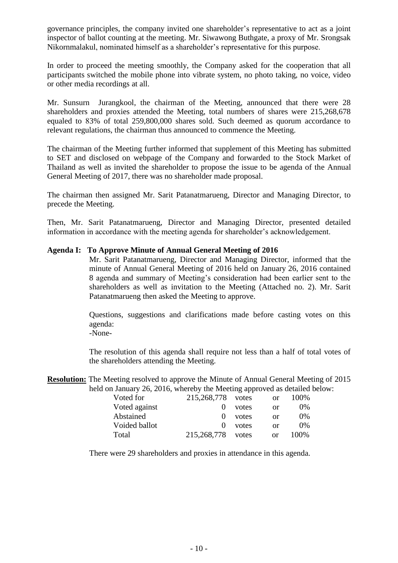governance principles, the company invited one shareholder's representative to act as a joint inspector of ballot counting at the meeting. Mr. Siwawong Buthgate, a proxy of Mr. Srongsak Nikornmalakul, nominated himself as a shareholder's representative for this purpose.

In order to proceed the meeting smoothly, the Company asked for the cooperation that all participants switched the mobile phone into vibrate system, no photo taking, no voice, video or other media recordings at all.

Mr. Sunsurn Jurangkool, the chairman of the Meeting, announced that there were 28 shareholders and proxies attended the Meeting, total numbers of shares were 215,268,678 equaled to 83% of total 259,800,000 shares sold. Such deemed as quorum accordance to relevant regulations, the chairman thus announced to commence the Meeting.

The chairman of the Meeting further informed that supplement of this Meeting has submitted to SET and disclosed on webpage of the Company and forwarded to the Stock Market of Thailand as well as invited the shareholder to propose the issue to be agenda of the Annual General Meeting of 2017, there was no shareholder made proposal.

The chairman then assigned Mr. Sarit Patanatmarueng, Director and Managing Director, to precede the Meeting.

Then, Mr. Sarit Patanatmarueng, Director and Managing Director, presented detailed information in accordance with the meeting agenda for shareholder's acknowledgement.

### **Agenda I: To Approve Minute of Annual General Meeting of 2016**

Mr. Sarit Patanatmarueng, Director and Managing Director, informed that the minute of Annual General Meeting of 2016 held on January 26, 2016 contained 8 agenda and summary of Meeting's consideration had been earlier sent to the shareholders as well as invitation to the Meeting (Attached no. 2). Mr. Sarit Patanatmarueng then asked the Meeting to approve.

Questions, suggestions and clarifications made before casting votes on this agenda:

-None-

The resolution of this agenda shall require not less than a half of total votes of the shareholders attending the Meeting.

**Resolution:** The Meeting resolved to approve the Minute of Annual General Meeting of 2015 held on January 26, 2016, whereby the Meeting approved as detailed below:

| Voted for     | 215,268,778 votes |       | <sub>or</sub> | 100\% |
|---------------|-------------------|-------|---------------|-------|
| Voted against |                   | votes | or            | $0\%$ |
| Abstained     |                   | votes | or            | $0\%$ |
| Voided ballot |                   | votes | or            | $0\%$ |
| Total         | 215,268,778       | votes | or            | 100\% |

There were 29 shareholders and proxies in attendance in this agenda.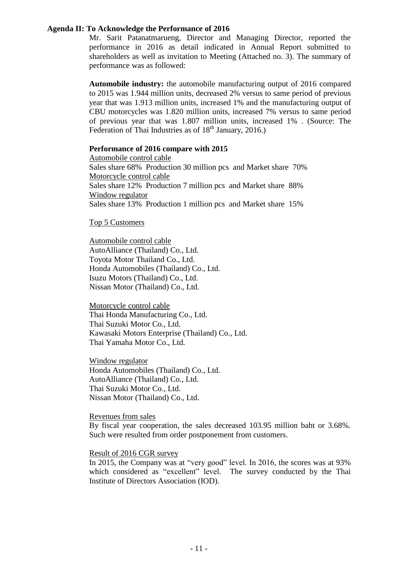### **Agenda II: To Acknowledge the Performance of 2016**

Mr. Sarit Patanatmarueng, Director and Managing Director, reported the performance in 2016 as detail indicated in Annual Report submitted to shareholders as well as invitation to Meeting (Attached no. 3). The summary of performance was as followed:

**Automobile industry:** the automobile manufacturing output of 2016 compared to 2015 was 1.944 million units, decreased 2% versus to same period of previous year that was 1.913 million units, increased 1% and the manufacturing output of CBU motorcycles was 1.820 million units, increased 7% versus to same period of previous year that was 1.807 million units, increased 1% . (Source: The Federation of Thai Industries as of 18<sup>th</sup> January, 2016.)

### **Performance of 2016 compare with 2015**

Automobile control cable Sales share 68% Production 30 million pcs and Market share 70% Motorcycle control cable Sales share 12% Production 7 million pcs and Market share 88% Window regulator Sales share 13% Production 1 million pcs and Market share 15%

### Top 5 Customers

Automobile control cable AutoAlliance (Thailand) Co., Ltd. Toyota Motor Thailand Co., Ltd. Honda Automobiles (Thailand) Co., Ltd. Isuzu Motors (Thailand) Co., Ltd. Nissan Motor (Thailand) Co., Ltd.

Motorcycle control cable Thai Honda Manufacturing Co., Ltd. Thai Suzuki Motor Co., Ltd. Kawasaki Motors Enterprise (Thailand) Co., Ltd. Thai Yamaha Motor Co., Ltd.

Window regulator Honda Automobiles (Thailand) Co., Ltd. AutoAlliance (Thailand) Co., Ltd. Thai Suzuki Motor Co., Ltd. Nissan Motor (Thailand) Co., Ltd.

#### Revenues from sales

By fiscal year cooperation, the sales decreased 103.95 million baht or 3.68%. Such were resulted from order postponement from customers.

#### Result of 2016 CGR survey

In 2015, the Company was at "very good" level. In 2016, the scores was at 93% which considered as "excellent" level. The survey conducted by the Thai Institute of Directors Association (IOD).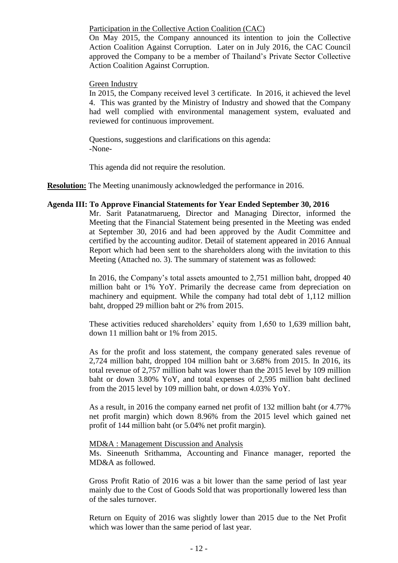Participation in the Collective Action Coalition (CAC)

On May 2015, the Company announced its intention to join the Collective Action Coalition Against Corruption. Later on in July 2016, the CAC Council approved the Company to be a member of Thailand's Private Sector Collective Action Coalition Against Corruption.

#### Green Industry

In 2015, the Company received level 3 certificate. In 2016, it achieved the level 4. This was granted by the Ministry of Industry and showed that the Company had well complied with environmental management system, evaluated and reviewed for continuous improvement.

Questions, suggestions and clarifications on this agenda: -None-

This agenda did not require the resolution.

**Resolution:** The Meeting unanimously acknowledged the performance in 2016.

#### **Agenda III: To Approve Financial Statements for Year Ended September 30, 2016**

Mr. Sarit Patanatmarueng, Director and Managing Director, informed the Meeting that the Financial Statement being presented in the Meeting was ended at September 30, 2016 and had been approved by the Audit Committee and certified by the accounting auditor. Detail of statement appeared in 2016 Annual Report which had been sent to the shareholders along with the invitation to this Meeting (Attached no. 3). The summary of statement was as followed:

In 2016, the Company's total assets amounted to 2,751 million baht, dropped 40 million baht or 1% YoY. Primarily the decrease came from depreciation on machinery and equipment. While the company had total debt of 1,112 million baht, dropped 29 million baht or 2% from 2015.

These activities reduced shareholders' equity from 1,650 to 1,639 million baht, down 11 million baht or 1% from 2015.

As for the profit and loss statement, the company generated sales revenue of 2,724 million baht, dropped 104 million baht or 3.68% from 2015. In 2016, its total revenue of 2,757 million baht was lower than the 2015 level by 109 million baht or down 3.80% YoY, and total expenses of 2,595 million baht declined from the 2015 level by 109 million baht, or down 4.03% YoY.

As a result, in 2016 the company earned net profit of 132 million baht (or 4.77% net profit margin) which down 8.96% from the 2015 level which gained net profit of 144 million baht (or 5.04% net profit margin).

#### MD&A : Management Discussion and Analysis

Ms. Sineenuth Srithamma, Accounting and Finance manager, reported the MD&A as followed.

Gross Profit Ratio of 2016 was a bit lower than the same period of last year mainly due to the Cost of Goods Sold that was proportionally lowered less than of the sales turnover.

Return on Equity of 2016 was slightly lower than 2015 due to the Net Profit which was lower than the same period of last year.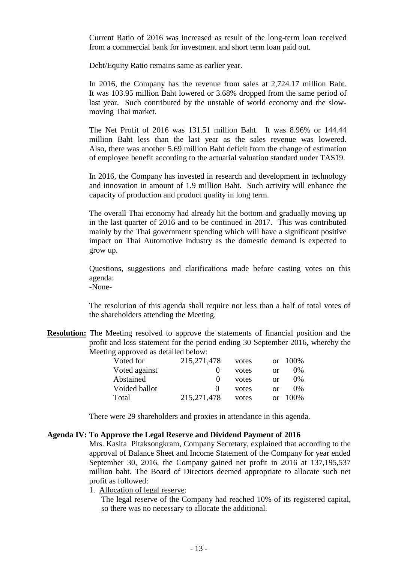Current Ratio of 2016 was increased as result of the long-term loan received from a commercial bank for investment and short term loan paid out.

Debt/Equity Ratio remains same as earlier year.

In 2016, the Company has the revenue from sales at 2,724.17 million Baht. It was 103.95 million Baht lowered or 3.68% dropped from the same period of last year. Such contributed by the unstable of world economy and the slowmoving Thai market.

The Net Profit of 2016 was 131.51 million Baht. It was 8.96% or 144.44 million Baht less than the last year as the sales revenue was lowered. Also, there was another 5.69 million Baht deficit from the change of estimation of employee benefit according to the actuarial valuation standard under TAS19.

In 2016, the Company has invested in research and development in technology and innovation in amount of 1.9 million Baht. Such activity will enhance the capacity of production and product quality in long term.

The overall Thai economy had already hit the bottom and gradually moving up in the last quarter of 2016 and to be continued in 2017. This was contributed mainly by the Thai government spending which will have a significant positive impact on Thai Automotive Industry as the domestic demand is expected to grow up.

Questions, suggestions and clarifications made before casting votes on this agenda:

-None-

The resolution of this agenda shall require not less than a half of total votes of the shareholders attending the Meeting.

**Resolution:** The Meeting resolved to approve the statements of financial position and the profit and loss statement for the period ending 30 September 2016, whereby the Meeting approved as detailed below:

| Voted for     | 215, 271, 478 | votes | $\alpha$   | $100\%$ |
|---------------|---------------|-------|------------|---------|
| Voted against | $\theta$      | votes | or         | $0\%$   |
| Abstained     | $\theta$      | votes | or         | $0\%$   |
| Voided ballot | 0             | votes | or         | $0\%$   |
| Total         | 215, 271, 478 | votes | $\alpha$ r | 100\%   |

There were 29 shareholders and proxies in attendance in this agenda.

#### **Agenda IV: To Approve the Legal Reserve and Dividend Payment of 2016**

Mrs. Kasita Pitaksongkram, Company Secretary, explained that according to the approval of Balance Sheet and Income Statement of the Company for year ended September 30, 2016, the Company gained net profit in 2016 at 137,195,537 million baht. The Board of Directors deemed appropriate to allocate such net profit as followed:

1. Allocation of legal reserve:

The legal reserve of the Company had reached 10% of its registered capital, so there was no necessary to allocate the additional.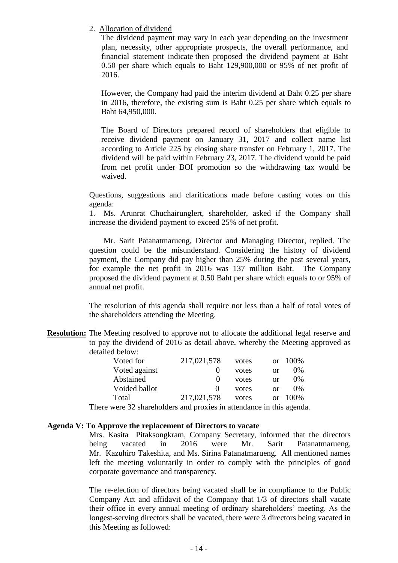2. Allocation of dividend

The dividend payment may vary in each year depending on the investment plan, necessity, other appropriate prospects, the overall performance, and financial statement indicate then proposed the dividend payment at Baht 0.50 per share which equals to Baht 129,900,000 or 95% of net profit of 2016.

However, the Company had paid the interim dividend at Baht 0.25 per share in 2016, therefore, the existing sum is Baht 0.25 per share which equals to Baht 64,950,000.

The Board of Directors prepared record of shareholders that eligible to receive dividend payment on January 31, 2017 and collect name list according to Article 225 by closing share transfer on February 1, 2017. The dividend will be paid within February 23, 2017. The dividend would be paid from net profit under BOI promotion so the withdrawing tax would be waived.

Questions, suggestions and clarifications made before casting votes on this agenda:

1. Ms. Arunrat Chuchairunglert, shareholder, asked if the Company shall increase the dividend payment to exceed 25% of net profit.

 Mr. Sarit Patanatmarueng, Director and Managing Director, replied. The question could be the misunderstand. Considering the history of dividend payment, the Company did pay higher than 25% during the past several years, for example the net profit in 2016 was 137 million Baht. The Company proposed the dividend payment at 0.50 Baht per share which equals to or 95% of annual net profit.

The resolution of this agenda shall require not less than a half of total votes of the shareholders attending the Meeting.

**Resolution:** The Meeting resolved to approve not to allocate the additional legal reserve and to pay the dividend of 2016 as detail above, whereby the Meeting approved as detailed below:

| Voted for     | 217,021,578       | votes |    | or $100\%$ |
|---------------|-------------------|-------|----|------------|
| Voted against |                   | votes | or | $0\%$      |
| Abstained     | $\mathbf{\Omega}$ | votes | or | $0\%$      |
| Voided ballot | $\mathbf{\Omega}$ | votes | or | $0\%$      |
| Total         | 217,021,578       | votes | Ωr | 100%       |
|               |                   |       |    |            |

There were 32 shareholders and proxies in attendance in this agenda.

### **Agenda V: To Approve the replacement of Directors to vacate**

Mrs. Kasita Pitaksongkram, Company Secretary, informed that the directors being vacated in 2016 were Mr. Sarit Patanatmarueng, Mr. Kazuhiro Takeshita, and Ms. Sirina Patanatmarueng. All mentioned names left the meeting voluntarily in order to comply with the principles of good corporate governance and transparency.

The re-election of directors being vacated shall be in compliance to the Public Company Act and affidavit of the Company that 1/3 of directors shall vacate their office in every annual meeting of ordinary shareholders' meeting. As the longest-serving directors shall be vacated, there were 3 directors being vacated in this Meeting as followed: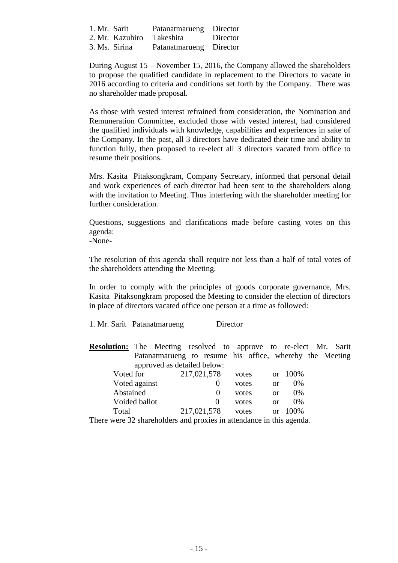| 1. Mr. Sarit |                 | Patanatmarueng Director |          |
|--------------|-----------------|-------------------------|----------|
|              | 2. Mr. Kazuhiro | Takeshita               | Director |
|              | 3. Ms. Sirina   | Patanatmarueng Director |          |

During August 15 – November 15, 2016, the Company allowed the shareholders to propose the qualified candidate in replacement to the Directors to vacate in 2016 according to criteria and conditions set forth by the Company. There was no shareholder made proposal.

As those with vested interest refrained from consideration, the Nomination and Remuneration Committee, excluded those with vested interest, had considered the qualified individuals with knowledge, capabilities and experiences in sake of the Company. In the past, all 3 directors have dedicated their time and ability to function fully, then proposed to re-elect all 3 directors vacated from office to resume their positions.

Mrs. Kasita Pitaksongkram, Company Secretary, informed that personal detail and work experiences of each director had been sent to the shareholders along with the invitation to Meeting. Thus interfering with the shareholder meeting for further consideration.

Questions, suggestions and clarifications made before casting votes on this agenda:

-None-

The resolution of this agenda shall require not less than a half of total votes of the shareholders attending the Meeting.

In order to comply with the principles of goods corporate governance, Mrs. Kasita Pitaksongkram proposed the Meeting to consider the election of directors in place of directors vacated office one person at a time as followed:

#### 1. Mr. Sarit Patanatmarueng Director

**Resolution:** The Meeting resolved to approve to re-elect Mr. Sarit Patanatmarueng to resume his office, whereby the Meeting approved as detailed below:

| Voted for                                                          | 217,021,578 | votes |          | or 100% |
|--------------------------------------------------------------------|-------------|-------|----------|---------|
| Voted against                                                      |             | votes | Ωr       | $0\%$   |
| Abstained                                                          |             | votes | or       | $0\%$   |
| Voided ballot                                                      |             | votes | or       | $0\%$   |
| Total                                                              | 217,021,578 | votes | $\alpha$ | 100%    |
| kang meng 20 shandad dang and musulas in attandanga in this agand. |             |       |          |         |

There were 32 shareholders and proxies in attendance in this agenda.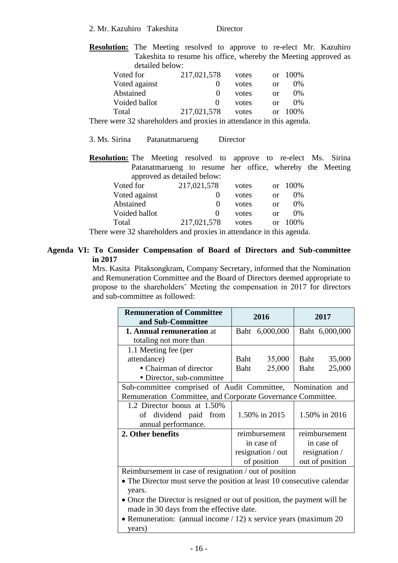2. Mr. Kazuhiro Takeshita Director

**Resolution:** The Meeting resolved to approve to re-elect Mr. Kazuhiro Takeshita to resume his office, whereby the Meeting approved as detailed below:

| Voted for     | 217,021,578       | votes | $\alpha$ r    | - 100% |
|---------------|-------------------|-------|---------------|--------|
| Voted against |                   | votes | Ωr            | $0\%$  |
| Abstained     |                   | votes | Ωr            | $0\%$  |
| Voided ballot | $\mathbf{\Omega}$ | votes | Ωr            | $0\%$  |
| Total         | 217,021,578       | votes | <sub>or</sub> | 100\%  |

There were 32 shareholders and proxies in attendance in this agenda.

3. Ms. Sirina Patanatmarueng Director

**Resolution:** The Meeting resolved to approve to re-elect Ms. Sirina Patanatmarueng to resume her office, whereby the Meeting approved as detailed below:

| Voted for     | 217,021,578  | votes | $\alpha$ r | 100\% |
|---------------|--------------|-------|------------|-------|
| Voted against |              | votes | or         | $0\%$ |
| Abstained     | 0            | votes | or         | $0\%$ |
| Voided ballot | $\mathbf{0}$ | votes | or         | $0\%$ |
| Total         | 217,021,578  | votes | Ωr         | 100%  |

There were 32 shareholders and proxies in attendance in this agenda.

### **Agenda VI: To Consider Compensation of Board of Directors and Sub-committee in 2017**

Mrs. Kasita Pitaksongkram, Company Secretary, informed that the Nomination and Remuneration Committee and the Board of Directors deemed appropriate to propose to the shareholders' Meeting the compensation in 2017 for directors and sub-committee as followed:

| <b>Remuneration of Committee</b><br>and Sub-Committee                   |               | 2016              | 2017          |                 |
|-------------------------------------------------------------------------|---------------|-------------------|---------------|-----------------|
| <b>1. Annual remuneration at</b>                                        |               | Baht 6,000,000    |               | Baht 6,000,000  |
| totaling not more than                                                  |               |                   |               |                 |
| 1.1 Meeting fee (per                                                    |               |                   |               |                 |
| attendance)                                                             | Baht          | 35,000            | Baht          | 35,000          |
| • Chairman of director                                                  | Baht          | 25,000            | Baht          | 25,000          |
| • Director, sub-committee                                               |               |                   |               |                 |
| Sub-committee comprised of Audit Committee, Nomination and              |               |                   |               |                 |
| Remuneration Committee, and Corporate Governance Committee.             |               |                   |               |                 |
| 1.2 Director bonus at 1.50%                                             |               |                   |               |                 |
| of dividend paid from                                                   | 1.50% in 2015 |                   | 1.50% in 2016 |                 |
| annual performance.                                                     |               |                   |               |                 |
| 2. Other benefits                                                       |               | reimbursement     |               | reimbursement   |
|                                                                         |               | in case of        |               | in case of      |
|                                                                         |               | resignation / out |               | resignation /   |
|                                                                         | of position   |                   |               | out of position |
| Reimbursement in case of resignation / out of position                  |               |                   |               |                 |
| • The Director must serve the position at least 10 consecutive calendar |               |                   |               |                 |
| vears.                                                                  |               |                   |               |                 |

- Once the Director is resigned or out of position, the payment will be made in 30 days from the effective date.
- Remuneration: (annual income / 12) x service years (maximum 20) years)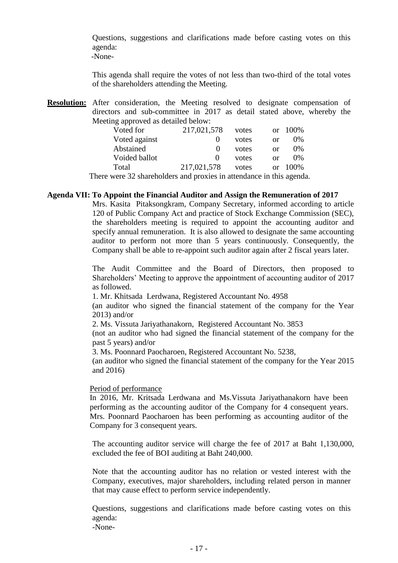Questions, suggestions and clarifications made before casting votes on this agenda:

-None-

This agenda shall require the votes of not less than two-third of the total votes of the shareholders attending the Meeting.

**Resolution:** After consideration, the Meeting resolved to designate compensation of directors and sub-committee in 2017 as detail stated above, whereby the Meeting approved as detailed below:

| Voted for            | 217,021,578       | votes                                                                           | or       | 100\% |
|----------------------|-------------------|---------------------------------------------------------------------------------|----------|-------|
| Voted against        |                   | votes                                                                           | or       | 0%    |
| Abstained            |                   | votes                                                                           | or       | 0%    |
| Voided ballot        | $\mathbf{\Omega}$ | votes                                                                           | or       | 0%    |
| Total                | 217,021,578       | votes                                                                           | $\alpha$ | 100%  |
| $\sim$ $\sim$ $\sim$ |                   | $\bullet$ $\bullet$ $\bullet$ $\bullet$ $\bullet$ $\bullet$ $\bullet$ $\bullet$ |          |       |

There were 32 shareholders and proxies in attendance in this agenda.

## **Agenda VII: To Appoint the Financial Auditor and Assign the Remuneration of 2017**

Mrs. Kasita Pitaksongkram, Company Secretary, informed according to article 120 of Public Company Act and practice of Stock Exchange Commission (SEC), the shareholders meeting is required to appoint the accounting auditor and specify annual remuneration. It is also allowed to designate the same accounting auditor to perform not more than 5 years continuously. Consequently, the Company shall be able to re-appoint such auditor again after 2 fiscal years later.

The Audit Committee and the Board of Directors, then proposed to Shareholders' Meeting to approve the appointment of accounting auditor of 2017 as followed.

1. Mr. Khitsada Lerdwana, Registered Accountant No. 4958

(an auditor who signed the financial statement of the company for the Year 2013) and/or

2. Ms. Vissuta Jariyathanakorn, Registered Accountant No. 3853

(not an auditor who had signed the financial statement of the company for the past 5 years) and/or

3. Ms. Poonnard Paocharoen, Registered Accountant No. 5238,

(an auditor who signed the financial statement of the company for the Year 2015 and 2016)

### Period of performance

In 2016, Mr. Kritsada Lerdwana and Ms.Vissuta Jariyathanakorn have been performing as the accounting auditor of the Company for 4 consequent years. Mrs. Poonnard Paocharoen has been performing as accounting auditor of the Company for 3 consequent years.

The accounting auditor service will charge the fee of 2017 at Baht 1,130,000, excluded the fee of BOI auditing at Baht 240,000.

Note that the accounting auditor has no relation or vested interest with the Company, executives, major shareholders, including related person in manner that may cause effect to perform service independently.

Questions, suggestions and clarifications made before casting votes on this agenda:

-None-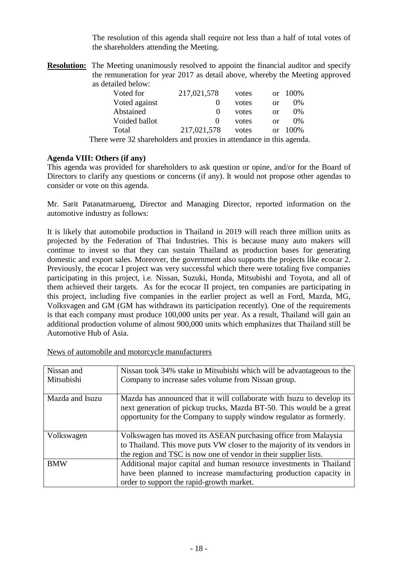The resolution of this agenda shall require not less than a half of total votes of the shareholders attending the Meeting.

**Resolution:** The Meeting unanimously resolved to appoint the financial auditor and specify the remuneration for year 2017 as detail above, whereby the Meeting approved as detailed below:

| Voted for                                                            | 217,021,578       | votes | $\alpha$ | 100%  |
|----------------------------------------------------------------------|-------------------|-------|----------|-------|
| Voted against                                                        |                   | votes | or       | $0\%$ |
| Abstained                                                            |                   | votes | or       | $0\%$ |
| Voided ballot                                                        | $\mathbf{\Omega}$ | votes | $\alpha$ | $0\%$ |
| Total                                                                | 217,021,578       | votes | $\alpha$ | 100\% |
| There were 32 shareholders and proxies in attendance in this agenda. |                   |       |          |       |

## **Agenda VIII: Others (if any)**

This agenda was provided for shareholders to ask question or opine, and/or for the Board of Directors to clarify any questions or concerns (if any). It would not propose other agendas to consider or vote on this agenda.

Mr. Sarit Patanatmarueng, Director and Managing Director, reported information on the automotive industry as follows:

It is likely that automobile production in Thailand in 2019 will reach three million units as projected by the Federation of Thai Industries. This is because many auto makers will continue to invest so that they can sustain Thailand as production bases for generating domestic and export sales. Moreover, the government also supports the projects like ecocar 2. Previously, the ecocar I project was very successful which there were totaling five companies participating in this project, i.e. Nissan, Suzuki, Honda, Mitsubishi and Toyota, and all of them achieved their targets. As for the ecocar II project, ten companies are participating in this project, including five companies in the earlier project as well as Ford, Mazda, MG, Volksvagen and GM (GM has withdrawn its participation recently). One of the requirements is that each company must produce 100,000 units per year. As a result, Thailand will gain an additional production volume of almost 900,000 units which emphasizes that Thailand still be Automotive Hub of Asia.

| Nissan and      | Nissan took 34% stake in Mitsubishi which will be advantageous to the   |
|-----------------|-------------------------------------------------------------------------|
| Mitsubishi      | Company to increase sales volume from Nissan group.                     |
|                 |                                                                         |
| Mazda and Isuzu | Mazda has announced that it will collaborate with Isuzu to develop its  |
|                 | next generation of pickup trucks, Mazda BT-50. This would be a great    |
|                 | opportunity for the Company to supply window regulator as formerly.     |
|                 |                                                                         |
|                 |                                                                         |
| Volkswagen      | Volkswagen has moved its ASEAN purchasing office from Malaysia          |
|                 | to Thailand. This move puts VW closer to the majority of its vendors in |
|                 | the region and TSC is now one of vendor in their supplier lists.        |
| <b>BMW</b>      | Additional major capital and human resource investments in Thailand     |
|                 | have been planned to increase manufacturing production capacity in      |
|                 | order to support the rapid-growth market.                               |

News of automobile and motorcycle manufacturers